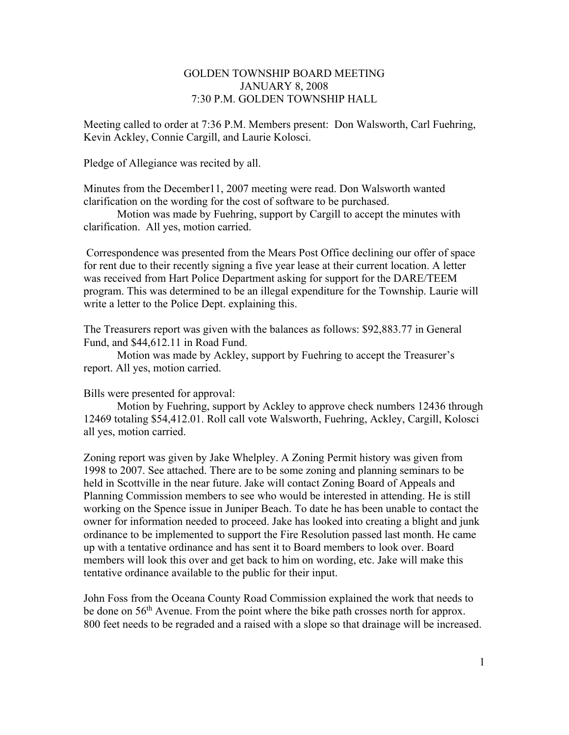# GOLDEN TOWNSHIP BOARD MEETING JANUARY 8, 2008 7:30 P.M. GOLDEN TOWNSHIP HALL

Meeting called to order at 7:36 P.M. Members present: Don Walsworth, Carl Fuehring, Kevin Ackley, Connie Cargill, and Laurie Kolosci.

Pledge of Allegiance was recited by all.

Minutes from the December11, 2007 meeting were read. Don Walsworth wanted clarification on the wording for the cost of software to be purchased.

 Motion was made by Fuehring, support by Cargill to accept the minutes with clarification. All yes, motion carried.

 Correspondence was presented from the Mears Post Office declining our offer of space for rent due to their recently signing a five year lease at their current location. A letter was received from Hart Police Department asking for support for the DARE/TEEM program. This was determined to be an illegal expenditure for the Township. Laurie will write a letter to the Police Dept. explaining this.

The Treasurers report was given with the balances as follows: \$92,883.77 in General Fund, and \$44,612.11 in Road Fund.

 Motion was made by Ackley, support by Fuehring to accept the Treasurer's report. All yes, motion carried.

Bills were presented for approval:

Motion by Fuehring, support by Ackley to approve check numbers 12436 through 12469 totaling \$54,412.01. Roll call vote Walsworth, Fuehring, Ackley, Cargill, Kolosci all yes, motion carried.

Zoning report was given by Jake Whelpley. A Zoning Permit history was given from 1998 to 2007. See attached. There are to be some zoning and planning seminars to be held in Scottville in the near future. Jake will contact Zoning Board of Appeals and Planning Commission members to see who would be interested in attending. He is still working on the Spence issue in Juniper Beach. To date he has been unable to contact the owner for information needed to proceed. Jake has looked into creating a blight and junk ordinance to be implemented to support the Fire Resolution passed last month. He came up with a tentative ordinance and has sent it to Board members to look over. Board members will look this over and get back to him on wording, etc. Jake will make this tentative ordinance available to the public for their input.

John Foss from the Oceana County Road Commission explained the work that needs to be done on  $56<sup>th</sup>$  Avenue. From the point where the bike path crosses north for approx. 800 feet needs to be regraded and a raised with a slope so that drainage will be increased.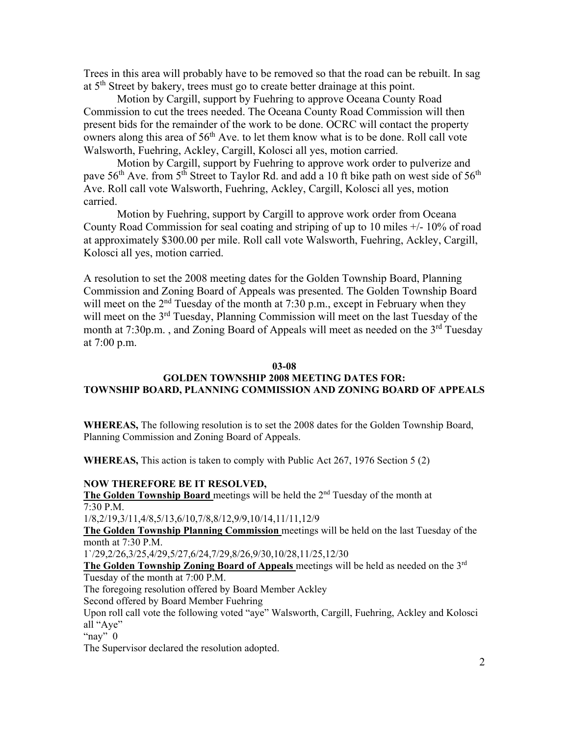Trees in this area will probably have to be removed so that the road can be rebuilt. In sag at 5<sup>th</sup> Street by bakery, trees must go to create better drainage at this point.

Motion by Cargill, support by Fuehring to approve Oceana County Road Commission to cut the trees needed. The Oceana County Road Commission will then present bids for the remainder of the work to be done. OCRC will contact the property owners along this area of 56<sup>th</sup> Ave. to let them know what is to be done. Roll call vote Walsworth, Fuehring, Ackley, Cargill, Kolosci all yes, motion carried.

Motion by Cargill, support by Fuehring to approve work order to pulverize and pave  $56<sup>th</sup>$  Ave. from  $5<sup>th</sup>$  Street to Taylor Rd. and add a 10 ft bike path on west side of  $56<sup>th</sup>$ Ave. Roll call vote Walsworth, Fuehring, Ackley, Cargill, Kolosci all yes, motion carried.

 Motion by Fuehring, support by Cargill to approve work order from Oceana County Road Commission for seal coating and striping of up to 10 miles +/- 10% of road at approximately \$300.00 per mile. Roll call vote Walsworth, Fuehring, Ackley, Cargill, Kolosci all yes, motion carried.

A resolution to set the 2008 meeting dates for the Golden Township Board, Planning Commission and Zoning Board of Appeals was presented. The Golden Township Board will meet on the  $2<sup>nd</sup>$  Tuesday of the month at 7:30 p.m., except in February when they will meet on the 3<sup>rd</sup> Tuesday, Planning Commission will meet on the last Tuesday of the month at 7:30p.m., and Zoning Board of Appeals will meet as needed on the  $3<sup>rd</sup>$  Tuesday at 7:00 p.m.

#### **03-08**

## **GOLDEN TOWNSHIP 2008 MEETING DATES FOR: TOWNSHIP BOARD, PLANNING COMMISSION AND ZONING BOARD OF APPEALS**

**WHEREAS,** The following resolution is to set the 2008 dates for the Golden Township Board, Planning Commission and Zoning Board of Appeals.

**WHEREAS,** This action is taken to comply with Public Act 267, 1976 Section 5 (2)

## **NOW THEREFORE BE IT RESOLVED,**

The Golden Township Board meetings will be held the 2<sup>nd</sup> Tuesday of the month at 7:30 P.M. 1/8,2/19,3/11,4/8,5/13,6/10,7/8,8/12,9/9,10/14,11/11,12/9

**The Golden Township Planning Commission** meetings will be held on the last Tuesday of the month at 7:30 P.M.

1`/29,2/26,3/25,4/29,5/27,6/24,7/29,8/26,9/30,10/28,11/25,12/30

**The Golden Township Zoning Board of Appeals** meetings will be held as needed on the 3rd Tuesday of the month at 7:00 P.M.

The foregoing resolution offered by Board Member Ackley

Second offered by Board Member Fuehring

Upon roll call vote the following voted "aye" Walsworth, Cargill, Fuehring, Ackley and Kolosci all "Aye"

" $n$ ay"  $\overline{0}$ 

The Supervisor declared the resolution adopted.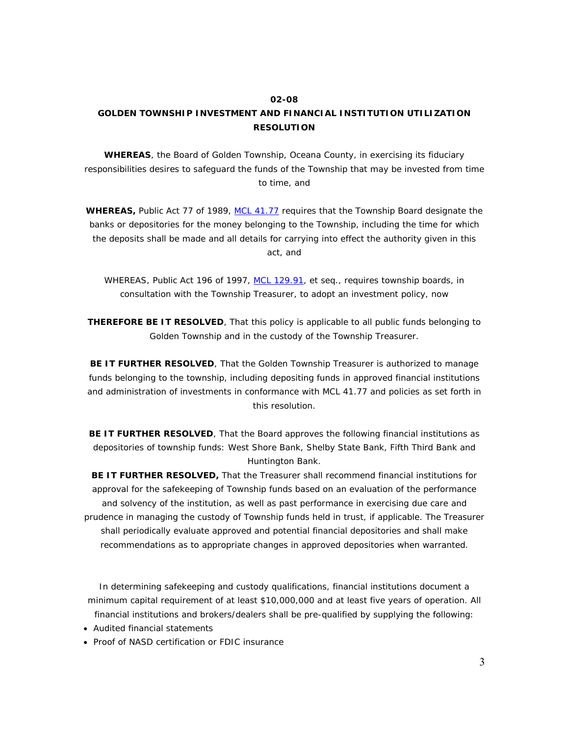#### **02-08**

## **GOLDEN TOWNSHIP INVESTMENT AND FINANCIAL INSTITUTION UTILIZATION RESOLUTION**

**WHEREAS**, the Board of Golden Township, Oceana County, in exercising its fiduciary responsibilities desires to safeguard the funds of the Township that may be invested from time to time, and

**WHEREAS,** Public Act 77 of 1989, MCL 41.77 requires that the Township Board designate the banks or depositories for the money belonging to the Township, including the time for which the deposits shall be made and all details for carrying into effect the authority given in this act, and

WHEREAS, Public Act 196 of 1997, MCL 129.91, *et seq*., requires township boards, in consultation with the Township Treasurer, to adopt an investment policy, now

**THEREFORE BE IT RESOLVED**, That this policy is applicable to all public funds belonging to Golden Township and in the custody of the Township Treasurer.

**BE IT FURTHER RESOLVED**, That the Golden Township Treasurer is authorized to manage funds belonging to the township, including depositing funds in approved financial institutions and administration of investments in conformance with MCL 41.77 and policies as set forth in this resolution.

**BE IT FURTHER RESOLVED**, That the Board approves the following financial institutions as depositories of township funds: West Shore Bank, Shelby State Bank, Fifth Third Bank and Huntington Bank.

**BE IT FURTHER RESOLVED,** That the Treasurer shall recommend financial institutions for approval for the safekeeping of Township funds based on an evaluation of the performance and solvency of the institution, as well as past performance in exercising due care and prudence in managing the custody of Township funds held in trust, if applicable. The Treasurer shall periodically evaluate approved and potential financial depositories and shall make recommendations as to appropriate changes in approved depositories when warranted.

In determining safekeeping and custody qualifications, financial institutions document a minimum capital requirement of at least \$10,000,000 and at least five years of operation. All financial institutions and brokers/dealers shall be pre-qualified by supplying the following:

- Audited financial statements
- Proof of NASD certification or FDIC insurance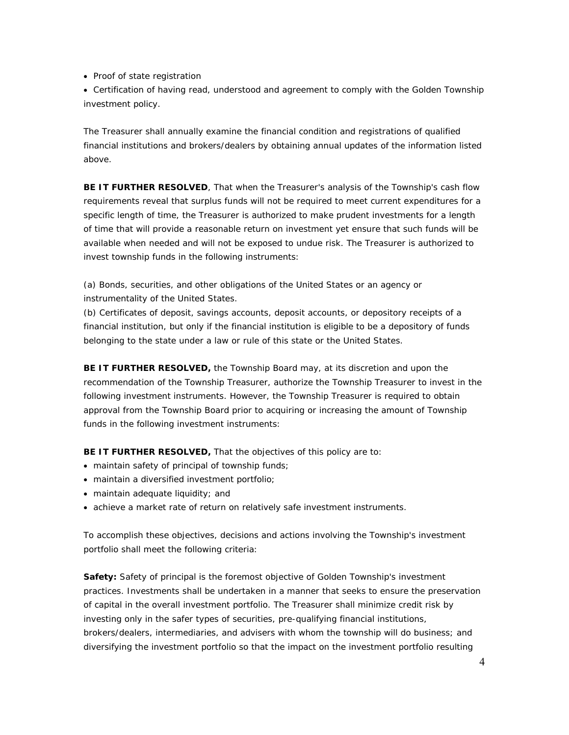• Proof of state registration

 Certification of having read, understood and agreement to comply with the Golden Township investment policy.

The Treasurer shall annually examine the financial condition and registrations of qualified financial institutions and brokers/dealers by obtaining annual updates of the information listed above.

**BE IT FURTHER RESOLVED**, That when the Treasurer's analysis of the Township's cash flow requirements reveal that surplus funds will not be required to meet current expenditures for a specific length of time, the Treasurer is authorized to make prudent investments for a length of time that will provide a reasonable return on investment yet ensure that such funds will be available when needed and will not be exposed to undue risk. The Treasurer is authorized to invest township funds in the following instruments:

(a) Bonds, securities, and other obligations of the United States or an agency or instrumentality of the United States.

(b) Certificates of deposit, savings accounts, deposit accounts, or depository receipts of a financial institution, but only if the financial institution is eligible to be a depository of funds belonging to the state under a law or rule of this state or the United States.

**BE IT FURTHER RESOLVED,** the Township Board may, at its discretion and upon the recommendation of the Township Treasurer, authorize the Township Treasurer to invest in the following investment instruments. However, the Township Treasurer is required to obtain approval from the Township Board prior to acquiring or increasing the amount of Township funds in the following investment instruments:

**BE IT FURTHER RESOLVED,** That the objectives of this policy are to:

- maintain safety of principal of township funds;
- maintain a diversified investment portfolio;
- maintain adequate liquidity; and
- achieve a market rate of return on relatively safe investment instruments.

To accomplish these objectives, decisions and actions involving the Township's investment portfolio shall meet the following criteria:

**Safety:** Safety of principal is the foremost objective of Golden Township's investment practices. Investments shall be undertaken in a manner that seeks to ensure the preservation of capital in the overall investment portfolio. The Treasurer shall minimize credit risk by investing only in the safer types of securities, pre-qualifying financial institutions, brokers/dealers, intermediaries, and advisers with whom the township will do business; and diversifying the investment portfolio so that the impact on the investment portfolio resulting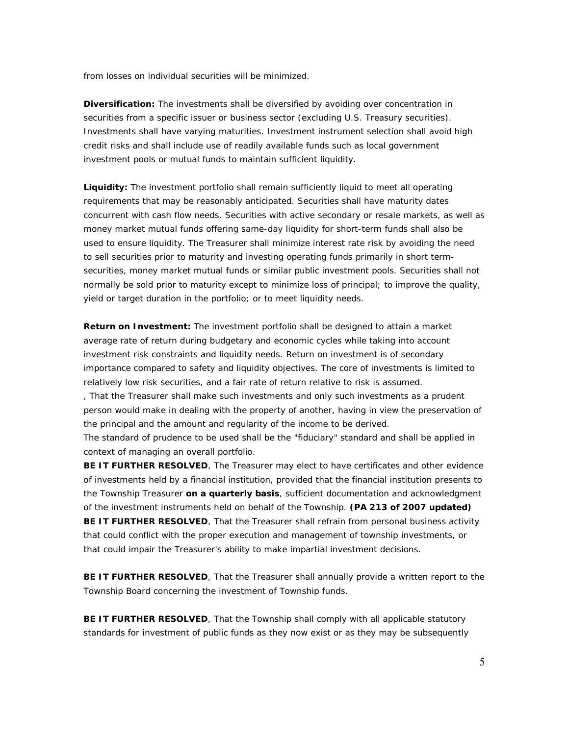from losses on individual securities will be minimized.

**Diversification:** The investments shall be diversified by avoiding over concentration in securities from a specific issuer or business sector (excluding U.S. Treasury securities). Investments shall have varying maturities. Investment instrument selection shall avoid high credit risks and shall include use of readily available funds such as local government investment pools or mutual funds to maintain sufficient liquidity.

**Liquidity:** The investment portfolio shall remain sufficiently liquid to meet all operating requirements that may be reasonably anticipated. Securities shall have maturity dates concurrent with cash flow needs. Securities with active secondary or resale markets, as well as money market mutual funds offering same-day liquidity for short-term funds shall also be used to ensure liquidity. The Treasurer shall minimize interest rate risk by avoiding the need to sell securities prior to maturity and investing operating funds primarily in short termsecurities, money market mutual funds or similar public investment pools. Securities shall not normally be sold prior to maturity except to minimize loss of principal; to improve the quality, yield or target duration in the portfolio; or to meet liquidity needs.

**Return on Investment:** The investment portfolio shall be designed to attain a market average rate of return during budgetary and economic cycles while taking into account investment risk constraints and liquidity needs. Return on investment is of secondary importance compared to safety and liquidity objectives. The core of investments is limited to relatively low risk securities, and a fair rate of return relative to risk is assumed.

, That the Treasurer shall make such investments and only such investments as a prudent person would make in dealing with the property of another, having in view the preservation of the principal and the amount and regularity of the income to be derived.

The standard of prudence to be used shall be the "fiduciary" standard and shall be applied in context of managing an overall portfolio.

**BE IT FURTHER RESOLVED**, The Treasurer may elect to have certificates and other evidence of investments held by a financial institution, provided that the financial institution presents to the Township Treasurer **on a quarterly basis**, sufficient documentation and acknowledgment of the investment instruments held on behalf of the Township. **(PA 213 of 2007 updated) BE IT FURTHER RESOLVED**, That the Treasurer shall refrain from personal business activity that could conflict with the proper execution and management of township investments, or that could impair the Treasurer's ability to make impartial investment decisions.

**BE IT FURTHER RESOLVED**, That the Treasurer shall annually provide a written report to the Township Board concerning the investment of Township funds.

**BE IT FURTHER RESOLVED**, That the Township shall comply with all applicable statutory standards for investment of public funds as they now exist or as they may be subsequently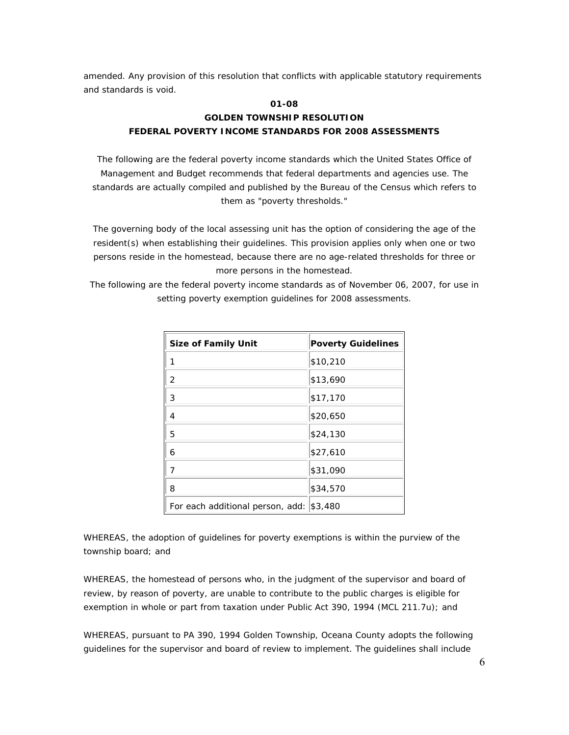amended. Any provision of this resolution that conflicts with applicable statutory requirements and standards is void.

# **01-08 GOLDEN TOWNSHIP RESOLUTION FEDERAL POVERTY INCOME STANDARDS FOR 2008 ASSESSMENTS**

The following are the federal poverty income standards which the United States Office of Management and Budget recommends that federal departments and agencies use. The standards are actually compiled and published by the Bureau of the Census which refers to them as "poverty thresholds."

The governing body of the local assessing unit has the option of considering the age of the resident(s) when establishing their guidelines. This provision applies only when one or two persons reside in the homestead, because there are no age-related thresholds for three or more persons in the homestead.

The following are the federal poverty income standards as of November 06, 2007, for use in setting poverty exemption guidelines for 2008 assessments.

| <b>Size of Family Unit</b>                 | <b>Poverty Guidelines</b> |
|--------------------------------------------|---------------------------|
|                                            | \$10,210                  |
| 2                                          | \$13,690                  |
| 3                                          | \$17,170                  |
| 4                                          | \$20,650                  |
| 5                                          | \$24,130                  |
| 6                                          | \$27,610                  |
| 7                                          | \$31,090                  |
| 8                                          | \$34,570                  |
| For each additional person, add:   \$3,480 |                           |

WHEREAS, the adoption of guidelines for poverty exemptions is within the purview of the township board; and

WHEREAS, the homestead of persons who, in the judgment of the supervisor and board of review, by reason of poverty, are unable to contribute to the public charges is eligible for exemption in whole or part from taxation under Public Act 390, 1994 (MCL 211.7u); and

WHEREAS, pursuant to PA 390, 1994 Golden Township, Oceana County adopts the following guidelines for the supervisor and board of review to implement. The guidelines shall include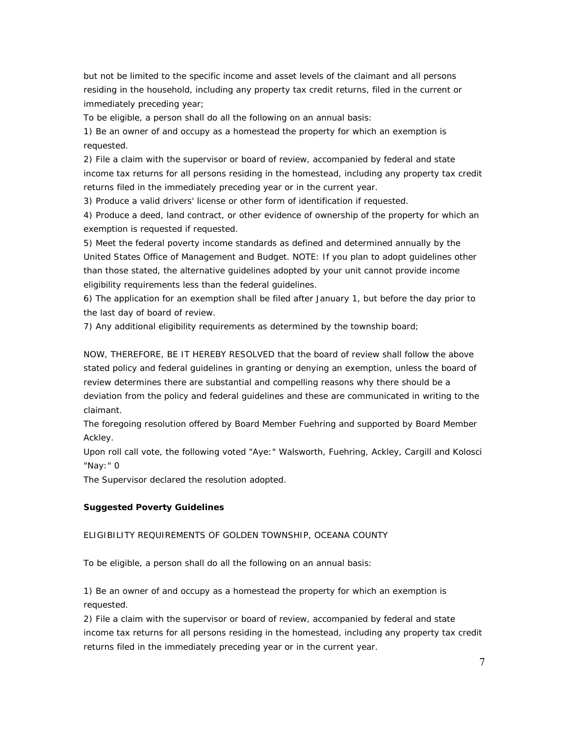but not be limited to the specific income and asset levels of the claimant and all persons residing in the household, including any property tax credit returns, filed in the current or immediately preceding year;

To be eligible, a person shall do all the following on an annual basis:

1) Be an owner of and occupy as a homestead the property for which an exemption is requested.

2) File a claim with the supervisor or board of review, accompanied by federal and state income tax returns for all persons residing in the homestead, including any property tax credit returns filed in the immediately preceding year or in the current year.

3) Produce a valid drivers' license or other form of identification if requested.

4) Produce a deed, land contract, or other evidence of ownership of the property for which an exemption is requested if requested.

5) Meet the federal poverty income standards as defined and determined annually by the United States Office of Management and Budget. NOTE: If you plan to adopt guidelines other than those stated, the alternative guidelines adopted by your unit cannot provide income eligibility requirements less than the federal guidelines.

6) The application for an exemption shall be filed after January 1, but before the day prior to the last day of board of review.

7) Any additional eligibility requirements as determined by the township board;

NOW, THEREFORE, BE IT HEREBY RESOLVED that the board of review shall follow the above stated policy and federal guidelines in granting or denying an exemption, unless the board of review determines there are substantial and compelling reasons why there should be a deviation from the policy and federal guidelines and these are communicated in writing to the claimant.

The foregoing resolution offered by Board Member Fuehring and supported by Board Member Ackley.

Upon roll call vote, the following voted "Aye:" Walsworth, Fuehring, Ackley, Cargill and Kolosci "Nay:" 0

The Supervisor declared the resolution adopted.

#### **Suggested Poverty Guidelines**

### ELIGIBILITY REQUIREMENTS OF GOLDEN TOWNSHIP, OCEANA COUNTY

To be eligible, a person shall do all the following on an annual basis:

1) Be an owner of and occupy as a homestead the property for which an exemption is requested.

2) File a claim with the supervisor or board of review, accompanied by federal and state income tax returns for all persons residing in the homestead, including any property tax credit returns filed in the immediately preceding year or in the current year.